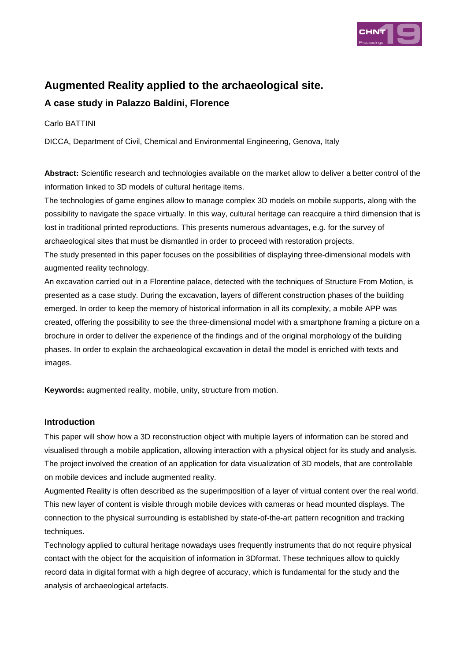

# **Augmented Reality applied to the archaeological site.**

# **A case study in Palazzo Baldini, Florence**

Carlo BATTINI

DICCA, Department of Civil, Chemical and Environmental Engineering, Genova, Italy

**Abstract:** Scientific research and technologies available on the market allow to deliver a better control of the information linked to 3D models of cultural heritage items.

The technologies of game engines allow to manage complex 3D models on mobile supports, along with the possibility to navigate the space virtually. In this way, cultural heritage can reacquire a third dimension that is lost in traditional printed reproductions. This presents numerous advantages, e.g. for the survey of archaeological sites that must be dismantled in order to proceed with restoration projects.

The study presented in this paper focuses on the possibilities of displaying three-dimensional models with augmented reality technology.

An excavation carried out in a Florentine palace, detected with the techniques of Structure From Motion, is presented as a case study. During the excavation, layers of different construction phases of the building emerged. In order to keep the memory of historical information in all its complexity, a mobile APP was created, offering the possibility to see the three-dimensional model with a smartphone framing a picture on a brochure in order to deliver the experience of the findings and of the original morphology of the building phases. In order to explain the archaeological excavation in detail the model is enriched with texts and images.

**Keywords:** augmented reality, mobile, unity, structure from motion.

## **Introduction**

This paper will show how a 3D reconstruction object with multiple layers of information can be stored and visualised through a mobile application, allowing interaction with a physical object for its study and analysis. The project involved the creation of an application for data visualization of 3D models, that are controllable on mobile devices and include augmented reality.

Augmented Reality is often described as the superimposition of a layer of virtual content over the real world. This new layer of content is visible through mobile devices with cameras or head mounted displays. The connection to the physical surrounding is established by state-of-the-art pattern recognition and tracking techniques.

Technology applied to cultural heritage nowadays uses frequently instruments that do not require physical contact with the object for the acquisition of information in 3Dformat. These techniques allow to quickly record data in digital format with a high degree of accuracy, which is fundamental for the study and the analysis of archaeological artefacts.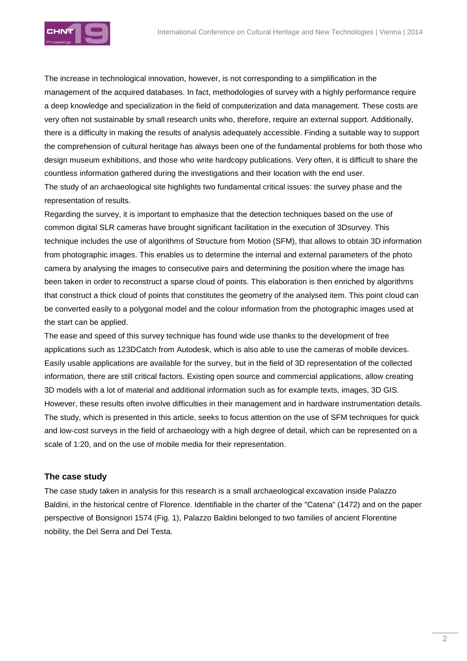

The increase in technological innovation, however, is not corresponding to a simplification in the management of the acquired databases. In fact, methodologies of survey with a highly performance require a deep knowledge and specialization in the field of computerization and data management. These costs are very often not sustainable by small research units who, therefore, require an external support. Additionally, there is a difficulty in making the results of analysis adequately accessible. Finding a suitable way to support the comprehension of cultural heritage has always been one of the fundamental problems for both those who design museum exhibitions, and those who write hardcopy publications. Very often, it is difficult to share the countless information gathered during the investigations and their location with the end user. The study of an archaeological site highlights two fundamental critical issues: the survey phase and the representation of results.

Regarding the survey, it is important to emphasize that the detection techniques based on the use of common digital SLR cameras have brought significant facilitation in the execution of 3Dsurvey. This technique includes the use of algorithms of Structure from Motion (SFM), that allows to obtain 3D information from photographic images. This enables us to determine the internal and external parameters of the photo camera by analysing the images to consecutive pairs and determining the position where the image has been taken in order to reconstruct a sparse cloud of points. This elaboration is then enriched by algorithms that construct a thick cloud of points that constitutes the geometry of the analysed item. This point cloud can be converted easily to a polygonal model and the colour information from the photographic images used at the start can be applied.

The ease and speed of this survey technique has found wide use thanks to the development of free applications such as 123DCatch from Autodesk, which is also able to use the cameras of mobile devices. Easily usable applications are available for the survey, but in the field of 3D representation of the collected information, there are still critical factors. Existing open source and commercial applications, allow creating 3D models with a lot of material and additional information such as for example texts, images, 3D GIS. However, these results often involve difficulties in their management and in hardware instrumentation details. The study, which is presented in this article, seeks to focus attention on the use of SFM techniques for quick and low-cost surveys in the field of archaeology with a high degree of detail, which can be represented on a scale of 1:20, and on the use of mobile media for their representation.

## **The case study**

The case study taken in analysis for this research is a small archaeological excavation inside Palazzo Baldini, in the historical centre of Florence. Identifiable in the charter of the "Catena" (1472) and on the paper perspective of Bonsignori 1574 (Fig. 1), Palazzo Baldini belonged to two families of ancient Florentine nobility, the Del Serra and Del Testa.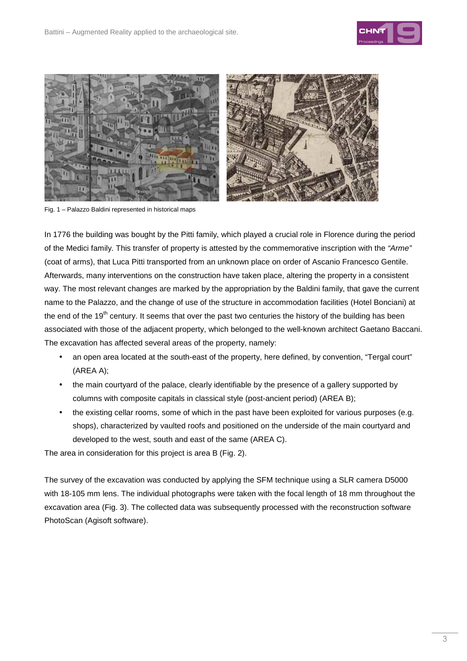



Fig. 1 – Palazzo Baldini represented in historical maps

In 1776 the building was bought by the Pitti family, which played a crucial role in Florence during the period of the Medici family. This transfer of property is attested by the commemorative inscription with the "Arme" (coat of arms), that Luca Pitti transported from an unknown place on order of Ascanio Francesco Gentile. Afterwards, many interventions on the construction have taken place, altering the property in a consistent way. The most relevant changes are marked by the appropriation by the Baldini family, that gave the current name to the Palazzo, and the change of use of the structure in accommodation facilities (Hotel Bonciani) at the end of the 19<sup>th</sup> century. It seems that over the past two centuries the history of the building has been associated with those of the adjacent property, which belonged to the well-known architect Gaetano Baccani. The excavation has affected several areas of the property, namely:

- an open area located at the south-east of the property, here defined, by convention, "Tergal court" (AREA A);
- the main courtyard of the palace, clearly identifiable by the presence of a gallery supported by columns with composite capitals in classical style (post-ancient period) (AREA B);
- the existing cellar rooms, some of which in the past have been exploited for various purposes (e.g. shops), characterized by vaulted roofs and positioned on the underside of the main courtyard and developed to the west, south and east of the same (AREA C).

The area in consideration for this project is area B (Fig. 2).

The survey of the excavation was conducted by applying the SFM technique using a SLR camera D5000 with 18-105 mm lens. The individual photographs were taken with the focal length of 18 mm throughout the excavation area (Fig. 3). The collected data was subsequently processed with the reconstruction software PhotoScan (Agisoft software).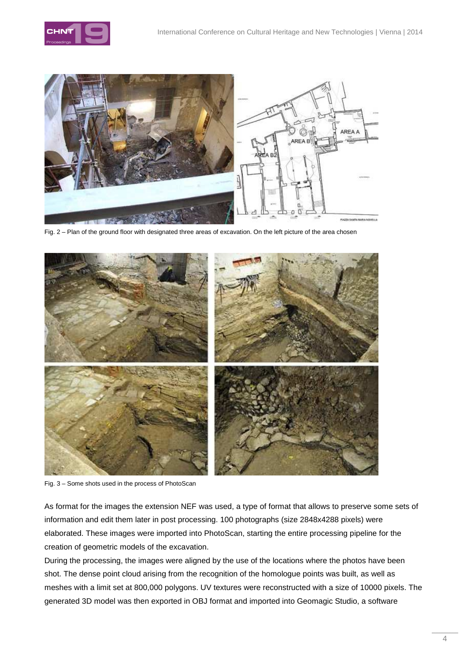



Fig. 2 – Plan of the ground floor with designated three areas of excavation. On the left picture of the area chosen



Fig. 3 – Some shots used in the process of PhotoScan

As format for the images the extension NEF was used, a type of format that allows to preserve some sets of information and edit them later in post processing. 100 photographs (size 2848x4288 pixels) were elaborated. These images were imported into PhotoScan, starting the entire processing pipeline for the creation of geometric models of the excavation.

During the processing, the images were aligned by the use of the locations where the photos have been shot. The dense point cloud arising from the recognition of the homologue points was built, as well as meshes with a limit set at 800,000 polygons. UV textures were reconstructed with a size of 10000 pixels. The generated 3D model was then exported in OBJ format and imported into Geomagic Studio, a software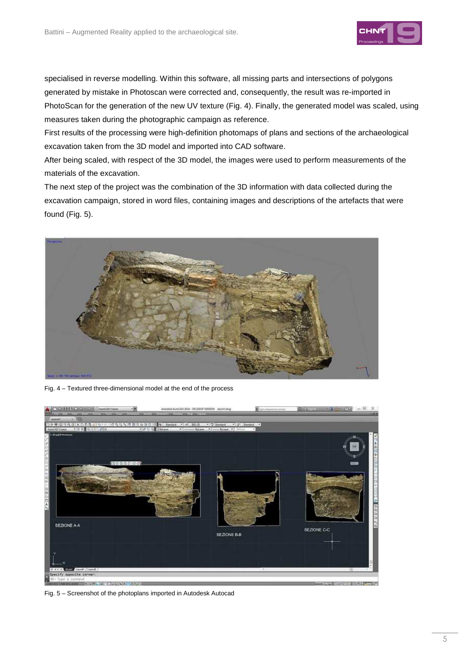

specialised in reverse modelling. Within this software, all missing parts and intersections of polygons generated by mistake in Photoscan were corrected and, consequently, the result was re-imported in PhotoScan for the generation of the new UV texture (Fig. 4). Finally, the generated model was scaled, using measures taken during the photographic campaign as reference.

First results of the processing were high-definition photomaps of plans and sections of the archaeological excavation taken from the 3D model and imported into CAD software.

After being scaled, with respect of the 3D model, the images were used to perform measurements of the materials of the excavation.

The next step of the project was the combination of the 3D information with data collected during the excavation campaign, stored in word files, containing images and descriptions of the artefacts that were found (Fig. 5).



Fig. 4 – Textured three-dimensional model at the end of the process



Fig. 5 – Screenshot of the photoplans imported in Autodesk Autocad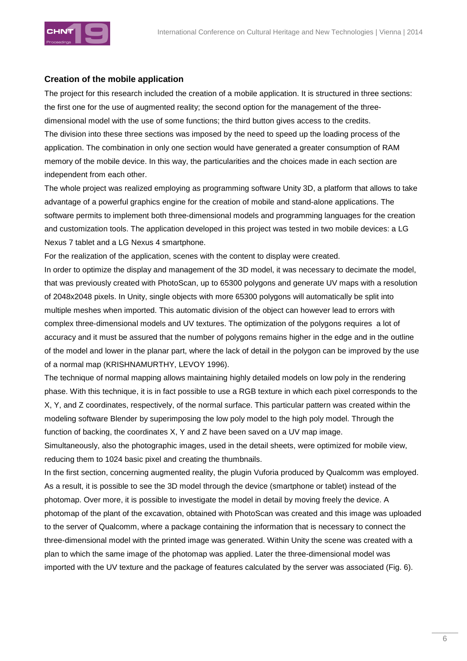

#### **Creation of the mobile application**

The project for this research included the creation of a mobile application. It is structured in three sections: the first one for the use of augmented reality; the second option for the management of the threedimensional model with the use of some functions; the third button gives access to the credits. The division into these three sections was imposed by the need to speed up the loading process of the application. The combination in only one section would have generated a greater consumption of RAM memory of the mobile device. In this way, the particularities and the choices made in each section are independent from each other.

The whole project was realized employing as programming software Unity 3D, a platform that allows to take advantage of a powerful graphics engine for the creation of mobile and stand-alone applications. The software permits to implement both three-dimensional models and programming languages for the creation and customization tools. The application developed in this project was tested in two mobile devices: a LG Nexus 7 tablet and a LG Nexus 4 smartphone.

For the realization of the application, scenes with the content to display were created.

In order to optimize the display and management of the 3D model, it was necessary to decimate the model, that was previously created with PhotoScan, up to 65300 polygons and generate UV maps with a resolution of 2048x2048 pixels. In Unity, single objects with more 65300 polygons will automatically be split into multiple meshes when imported. This automatic division of the object can however lead to errors with complex three-dimensional models and UV textures. The optimization of the polygons requires a lot of accuracy and it must be assured that the number of polygons remains higher in the edge and in the outline of the model and lower in the planar part, where the lack of detail in the polygon can be improved by the use of a normal map (KRISHNAMURTHY, LEVOY 1996).

The technique of normal mapping allows maintaining highly detailed models on low poly in the rendering phase. With this technique, it is in fact possible to use a RGB texture in which each pixel corresponds to the X, Y, and Z coordinates, respectively, of the normal surface. This particular pattern was created within the modeling software Blender by superimposing the low poly model to the high poly model. Through the function of backing, the coordinates X, Y and Z have been saved on a UV map image.

Simultaneously, also the photographic images, used in the detail sheets, were optimized for mobile view, reducing them to 1024 basic pixel and creating the thumbnails.

In the first section, concerning augmented reality, the plugin Vuforia produced by Qualcomm was employed. As a result, it is possible to see the 3D model through the device (smartphone or tablet) instead of the photomap. Over more, it is possible to investigate the model in detail by moving freely the device. A photomap of the plant of the excavation, obtained with PhotoScan was created and this image was uploaded to the server of Qualcomm, where a package containing the information that is necessary to connect the three-dimensional model with the printed image was generated. Within Unity the scene was created with a plan to which the same image of the photomap was applied. Later the three-dimensional model was imported with the UV texture and the package of features calculated by the server was associated (Fig. 6).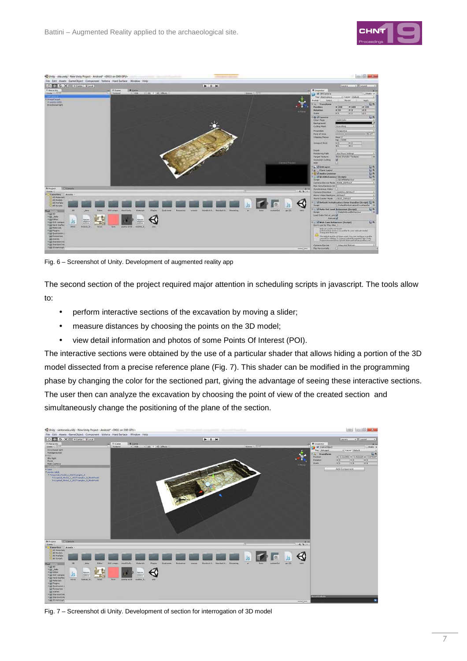



Fig. 6 – Screenshot of Unity. Development of augmented reality app

The second section of the project required major attention in scheduling scripts in javascript. The tools allow to:

- perform interactive sections of the excavation by moving a slider;
- measure distances by choosing the points on the 3D model;
- view detail information and photos of some Points Of Interest (POI).

The interactive sections were obtained by the use of a particular shader that allows hiding a portion of the 3D model dissected from a precise reference plane (Fig. 7). This shader can be modified in the programming phase by changing the color for the sectioned part, giving the advantage of seeing these interactive sections. The user then can analyze the excavation by choosing the point of view of the created section and simultaneously change the positioning of the plane of the section.



Fig. 7 – Screenshot di Unity. Development of section for interrogation of 3D model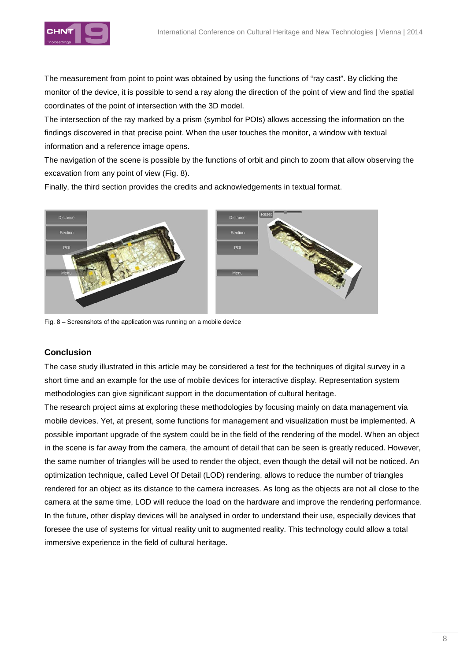

The measurement from point to point was obtained by using the functions of "ray cast". By clicking the monitor of the device, it is possible to send a ray along the direction of the point of view and find the spatial coordinates of the point of intersection with the 3D model.

The intersection of the ray marked by a prism (symbol for POIs) allows accessing the information on the findings discovered in that precise point. When the user touches the monitor, a window with textual information and a reference image opens.

The navigation of the scene is possible by the functions of orbit and pinch to zoom that allow observing the excavation from any point of view (Fig. 8).

Finally, the third section provides the credits and acknowledgements in textual format.



Fig. 8 – Screenshots of the application was running on a mobile device

## **Conclusion**

The case study illustrated in this article may be considered a test for the techniques of digital survey in a short time and an example for the use of mobile devices for interactive display. Representation system methodologies can give significant support in the documentation of cultural heritage.

The research project aims at exploring these methodologies by focusing mainly on data management via mobile devices. Yet, at present, some functions for management and visualization must be implemented. A possible important upgrade of the system could be in the field of the rendering of the model. When an object in the scene is far away from the camera, the amount of detail that can be seen is greatly reduced. However, the same number of triangles will be used to render the object, even though the detail will not be noticed. An optimization technique, called Level Of Detail (LOD) rendering, allows to reduce the number of triangles rendered for an object as its distance to the camera increases. As long as the objects are not all close to the camera at the same time, LOD will reduce the load on the hardware and improve the rendering performance. In the future, other display devices will be analysed in order to understand their use, especially devices that foresee the use of systems for virtual reality unit to augmented reality. This technology could allow a total immersive experience in the field of cultural heritage.